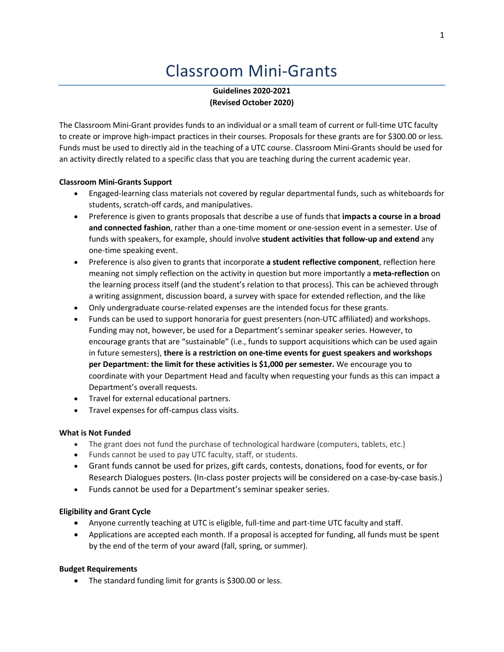# Classroom Mini-Grants

**Guidelines 2020-2021 (Revised October 2020)**

The Classroom Mini-Grant provides funds to an individual or a small team of current or full-time UTC faculty to create or improve high-impact practices in their courses. Proposals for these grants are for \$300.00 or less. Funds must be used to directly aid in the teaching of a UTC course. Classroom Mini-Grants should be used for an activity directly related to a specific class that you are teaching during the current academic year.

#### **Classroom Mini-Grants Support**

- Engaged-learning class materials not covered by regular departmental funds, such as whiteboards for students, scratch-off cards, and manipulatives.
- Preference is given to grants proposals that describe a use of funds that **impacts a course in a broad and connected fashion**, rather than a one-time moment or one-session event in a semester. Use of funds with speakers, for example, should involve **student activities that follow-up and extend** any one-time speaking event.
- Preference is also given to grants that incorporate **a student reflective component**, reflection here meaning not simply reflection on the activity in question but more importantly a **meta-reflection** on the learning process itself (and the student's relation to that process). This can be achieved through a writing assignment, discussion board, a survey with space for extended reflection, and the like
- Only undergraduate course-related expenses are the intended focus for these grants.
- Funds can be used to support honoraria for guest presenters (non-UTC affiliated) and workshops. Funding may not, however, be used for a Department's seminar speaker series. However, to encourage grants that are "sustainable" (i.e., funds to support acquisitions which can be used again in future semesters), **there is a restriction on one-time events for guest speakers and workshops per Department: the limit for these activities is \$1,000 per semester.** We encourage you to coordinate with your Department Head and faculty when requesting your funds as this can impact a Department's overall requests.
- Travel for external educational partners.
- Travel expenses for off-campus class visits.

#### **What is Not Funded**

- The grant does not fund the purchase of technological hardware (computers, tablets, etc.)
- Funds cannot be used to pay UTC faculty, staff, or students.
- Grant funds cannot be used for prizes, gift cards, contests, donations, food for events, or for Research Dialogues posters. (In-class poster projects will be considered on a case-by-case basis.)
- Funds cannot be used for a Department's seminar speaker series.

## **Eligibility and Grant Cycle**

- Anyone currently teaching at UTC is eligible, full-time and part-time UTC faculty and staff.
- Applications are accepted each month. If a proposal is accepted for funding, all funds must be spent by the end of the term of your award (fall, spring, or summer).

#### **Budget Requirements**

• The standard funding limit for grants is \$300.00 or less.